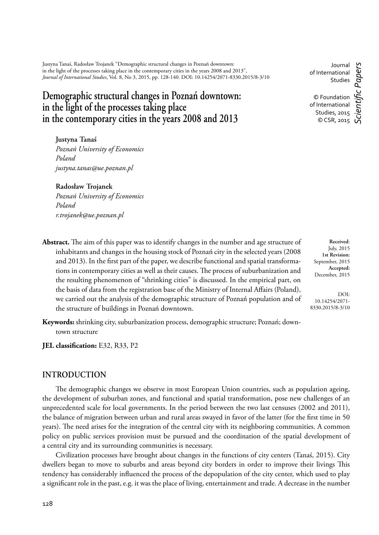Justyna Tanaś, Radosław Trojanek "Demographic structural changes in Poznań downtown: in the light of the processes taking place in the contemporary cities in the years 2008 and 2013", *Journal of International Studies*, Vol. 8, No 3, 2015, pp. 128-140. DOI: 10.14254/2071-8330.2015/8-3/10

# **Demographic structural changes in Poznań downtown: in the light of the processes taking place in the contemporary cities in the years 2008 and 2013**

**Justyna Tanaś**  *Poznań University of Economics Poland justyna.tanas@ue.poznan.pl*

#### **Radosław Trojanek**

*Poznań University of Economics Poland r.trojanek@ue.poznan.pl*

**Abstract.** The aim of this paper was to identify changes in the number and age structure of inhabitants and changes in the housing stock of Poznań city in the selected years (2008 and 2013). In the first part of the paper, we describe functional and spatial transformations in contemporary cities as well as their causes. The process of suburbanization and the resulting phenomenon of "shrinking cities" is discussed. In the empirical part, on the basis of data from the registration base of the Ministry of Internal Affairs (Poland), we carried out the analysis of the demographic structure of Poznań population and of the structure of buildings in Poznań downtown.

**Keywords:** shrinking city, suburbanization process, demographic structure; Poznań; downtown structure

**IEL classification:** E32, R33, P2

### **INTRODUCTION**

The demographic changes we observe in most European Union countries, such as population ageing, the development of suburban zones, and functional and spatial transformation, pose new challenges of an unprecedented scale for local governments. In the period between the two last censuses (2002 and 2011), the balance of migration between urban and rural areas swayed in favor of the latter (for the first time in 50 years). The need arises for the integration of the central city with its neighboring communities. A common policy on public services provision must be pursued and the coordination of the spatial development of a central city and its surrounding communities is necessary.

Civilization processes have brought about changes in the functions of city centers (Tanaś, 2015). City dwellers began to move to suburbs and areas beyond city borders in order to improve their livings This tendency has considerably influenced the process of the depopulation of the city center, which used to play a significant role in the past, e.g. it was the place of living, entertainment and trade. A decrease in the number

of International Studies © Foundation of International Studies, 2015 © CSR, 2015 *Scientifi c Papers*

Journal

**Received**: July, 2015 **1st Revision:** September, 2015 **Accepted:** December, 2015

DOI: 10.14254/2071- 8330.2015/8-3/10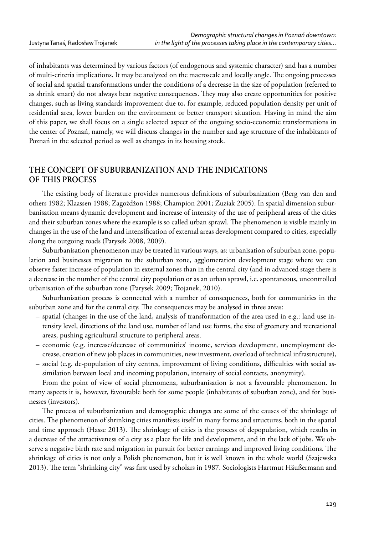of inhabitants was determined by various factors (of endogenous and systemic character) and has a number of multi-criteria implications. It may be analyzed on the macroscale and locally angle. The ongoing processes of social and spatial transformations under the conditions of a decrease in the size of population (referred to as shrink smart) do not always bear negative consequences. They may also create opportunities for positive changes, such as living standards improvement due to, for example, reduced population density per unit of residential area, lower burden on the environment or better transport situation. Having in mind the aim of this paper, we shall focus on a single selected aspect of the ongoing socio-economic transformations in the center of Poznań, namely, we will discuss changes in the number and age structure of the inhabitants of Poznań in the selected period as well as changes in its housing stock.

### **THE CONCEPT OF SUBURBANIZATION AND THE INDICATIONS OF THIS PROCESS**

The existing body of literature provides numerous definitions of suburbanization (Berg van den and others 1982; Klaassen 1988; Zagożdżon 1988; Champion 2001; Zuziak 2005). In spatial dimension suburbanisation means dynamic development and increase of intensity of the use of peripheral areas of the cities and their suburban zones where the example is so called urban sprawl. The phenomenon is visible mainly in changes in the use of the land and intensification of external areas development compared to cities, especially along the outgoing roads (Parysek 2008, 2009).

Suburbanisation phenomenon may be treated in various ways, as: urbanisation of suburban zone, population and businesses migration to the suburban zone, agglomeration development stage where we can observe faster increase of population in external zones than in the central city (and in advanced stage there is a decrease in the number of the central city population or as an urban sprawl, i.e. spontaneous, uncontrolled urbanisation of the suburban zone (Parysek 2009; Trojanek, 2010).

Suburbanisation process is connected with a number of consequences, both for communities in the suburban zone and for the central city. The consequences may be analysed in three areas:

- spatial (changes in the use of the land, analysis of transformation of the area used in e.g.: land use intensity level, directions of the land use, number of land use forms, the size of greenery and recreational areas, pushing agricultural structure to peripheral areas.
- economic (e.g. increase/decrease of communities' income, services development, unemployment decrease, creation of new job places in communities, new investment, overload of technical infrastructure),
- social (e.g. de-population of city centres, improvement of living conditions, difficulties with social assimilation between local and incoming population, intensity of social contacts, anonymity).

From the point of view of social phenomena, suburbanisation is not a favourable phenomenon. In many aspects it is, however, favourable both for some people (inhabitants of suburban zone), and for businesses (investors).

The process of suburbanization and demographic changes are some of the causes of the shrinkage of cities. The phenomenon of shrinking cities manifests itself in many forms and structures, both in the spatial and time approach (Hasse 2013). The shrinkage of cities is the process of depopulation, which results in a decrease of the attractiveness of a city as a place for life and development, and in the lack of jobs. We observe a negative birth rate and migration in pursuit for better earnings and improved living conditions. The shrinkage of cities is not only a Polish phenomenon, but it is well known in the whole world (Szajewska 2013). The term "shrinking city" was first used by scholars in 1987. Sociologists Hartmut Häußermann and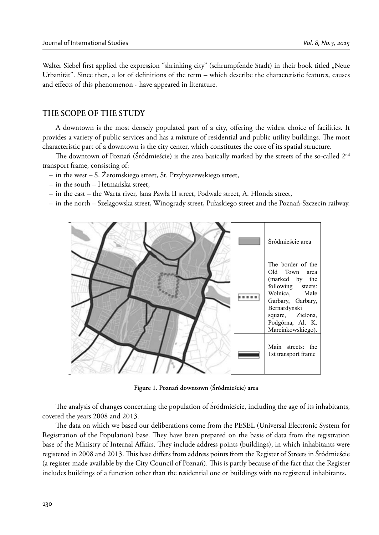Walter Siebel first applied the expression "shrinking city" (schrumpfende Stadt) in their book titled "Neue Urbanität". Since then, a lot of definitions of the term – which describe the characteristic features, causes and effects of this phenomenon - have appeared in literature.

### **THE SCOPE OF THE STUDY**

A downtown is the most densely populated part of a city, offering the widest choice of facilities. It provides a variety of public services and has a mixture of residential and public utility buildings. The most characteristic part of a downtown is the city center, which constitutes the core of its spatial structure.

The downtown of Poznań (Śródmieście) is the area basically marked by the streets of the so-called  $2<sup>nd</sup>$ transport frame, consisting of:

- in the west S. Żeromskiego street, St. Przybyszewskiego street,
- in the south Hetmańska street,
- in the east the Warta river, Jana Pawła II street, Podwale street, A. Hlonda street,
- in the north Szelągowska street, Winogrady street, Pułaskiego street and the Poznań-Szczecin railway.



**Figure 1. Poznań downtown (Śródmieście) area**

The analysis of changes concerning the population of Śródmieście, including the age of its inhabitants, covered the years 2008 and 2013.

The data on which we based our deliberations come from the PESEL (Universal Electronic System for Registration of the Population) base. They have been prepared on the basis of data from the registration base of the Ministry of Internal Affairs. They include address points (buildings), in which inhabitants were registered in 2008 and 2013. This base differs from address points from the Register of Streets in Śródmieście (a register made available by the City Council of Poznań). This is partly because of the fact that the Register includes buildings of a function other than the residential one or buildings with no registered inhabitants.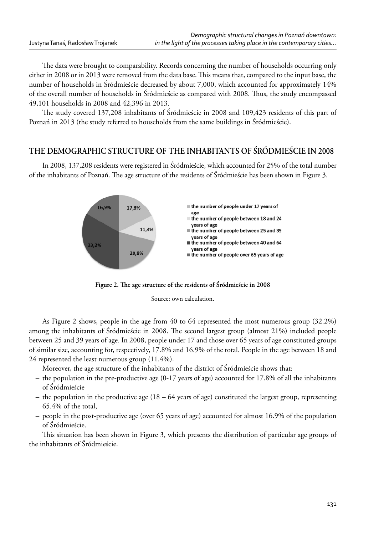The data were brought to comparability. Records concerning the number of households occurring only either in 2008 or in 2013 were removed from the data base. This means that, compared to the input base, the number of households in Śródmieście decreased by about 7,000, which accounted for approximately 14% of the overall number of households in Śródmieście as compared with 2008. Thus, the study encompassed 49,101 households in 2008 and 42,396 in 2013.

The study covered 137,208 inhabitants of Śródmieście in 2008 and 109,423 residents of this part of Poznań in 2013 (the study referred to households from the same buildings in Śródmieście).

# **THE DEMOGRAPHIC STRUCTURE OF THE INHABITANTS OF ŚRÓDMIEŚCIE IN 2008**

In 2008, 137,208 residents were registered in Śródmieście, which accounted for 25% of the total number of the inhabitants of Poznań. The age structure of the residents of Śródmieście has been shown in Figure 3.



Figure 2. The age structure of the residents of Śródmieście in 2008

Source: own calculation.

As Figure 2 shows, people in the age from 40 to 64 represented the most numerous group (32.2%) among the inhabitants of Śródmieście in 2008. The second largest group (almost 21%) included people between 25 and 39 years of age. In 2008, people under 17 and those over 65 years of age constituted groups of similar size, accounting for, respectively, 17.8% and 16.9% of the total. People in the age between 18 and 24 represented the least numerous group (11.4%).

Moreover, the age structure of the inhabitants of the district of Śródmieście shows that:

- the population in the pre-productive age (0-17 years of age) accounted for 17.8% of all the inhabitants of Śródmieście
- the population in the productive age (18 64 years of age) constituted the largest group, representing 65.4% of the total,
- people in the post-productive age (over 65 years of age) accounted for almost 16.9% of the population of Śródmieście.

This situation has been shown in Figure 3, which presents the distribution of particular age groups of the inhabitants of Śródmieście.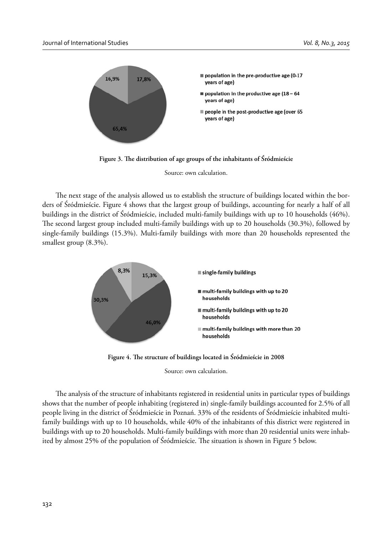

Figure 3. The distribution of age groups of the inhabitants of Śródmieście

Source: own calculation.

The next stage of the analysis allowed us to establish the structure of buildings located within the borders of Śródmieście. Figure 4 shows that the largest group of buildings, accounting for nearly a half of all buildings in the district of Śródmieście, included multi-family buildings with up to 10 households (46%). The second largest group included multi-family buildings with up to 20 households (30.3%), followed by single-family buildings (15.3%). Multi-family buildings with more than 20 households represented the smallest group (8.3%).



Figure 4. The structure of buildings located in Śródmieście in 2008

Source: own calculation.

The analysis of the structure of inhabitants registered in residential units in particular types of buildings shows that the number of people inhabiting (registered in) single-family buildings accounted for 2.5% of all people living in the district of Śródmieście in Poznań. 33% of the residents of Śródmieście inhabited multifamily buildings with up to 10 households, while 40% of the inhabitants of this district were registered in buildings with up to 20 households. Multi-family buildings with more than 20 residential units were inhabited by almost 25% of the population of Śródmieście. The situation is shown in Figure 5 below.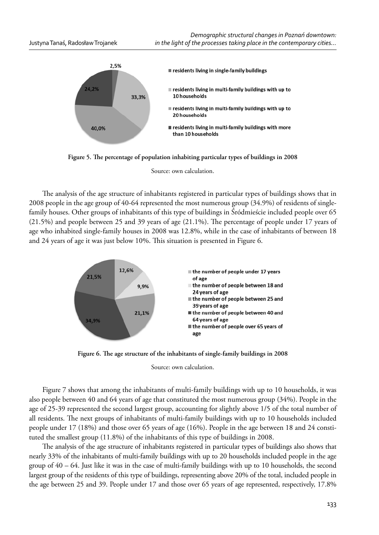

Figure 5. The percentage of population inhabiting particular types of buildings in 2008

Source: own calculation.

The analysis of the age structure of inhabitants registered in particular types of buildings shows that in 2008 people in the age group of 40-64 represented the most numerous group (34.9%) of residents of singlefamily houses. Other groups of inhabitants of this type of buildings in Śródmieście included people over 65  $(21.5%)$  and people between 25 and 39 years of age  $(21.1%)$ . The percentage of people under 17 years of age who inhabited single-family houses in 2008 was 12.8%, while in the case of inhabitants of between 18 and 24 years of age it was just below 10%. This situation is presented in Figure 6.



Figure 6. The age structure of the inhabitants of single-family buildings in 2008

Source: own calculation.

Figure 7 shows that among the inhabitants of multi-family buildings with up to 10 households, it was also people between 40 and 64 years of age that constituted the most numerous group (34%). People in the age of 25-39 represented the second largest group, accounting for slightly above 1/5 of the total number of all residents. The next groups of inhabitants of multi-family buildings with up to 10 households included people under 17 (18%) and those over 65 years of age (16%). People in the age between 18 and 24 constituted the smallest group (11.8%) of the inhabitants of this type of buildings in 2008.

The analysis of the age structure of inhabitants registered in particular types of buildings also shows that nearly 33% of the inhabitants of multi-family buildings with up to 20 households included people in the age group of 40 – 64. Just like it was in the case of multi-family buildings with up to 10 households, the second largest group of the residents of this type of buildings, representing above 20% of the total, included people in the age between 25 and 39. People under 17 and those over 65 years of age represented, respectively, 17.8%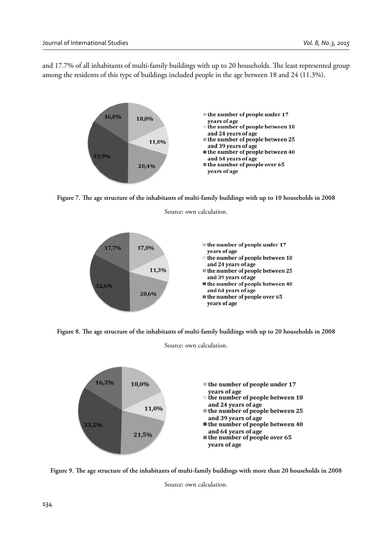and 17.7% of all inhabitants of multi-family buildings with up to 20 households. The least represented group among the residents of this type of buildings included people in the age between 18 and 24 (11.3%).



Figure 7. The age structure of the inhabitants of multi-family buildings with up to 10 households in 2008

Source: own calculation.



Figure 8. The age structure of the inhabitants of multi-family buildings with up to 20 households in 2008 Source: own calculation.

16,3% 18.0%  $\equiv$  the number of people under 17 years of age the number of people between 18 and 24 years of age 11,0%  $\blacksquare$  the number of people between 25 and 39 years of age 33.2% the number of people between 40 and 64 years of age 21,5%  $\blacksquare$  the number of people over 65 years of age

Figure 9. The age structure of the inhabitants of multi-family buildings with more than 20 households in 2008

Source: own calculation.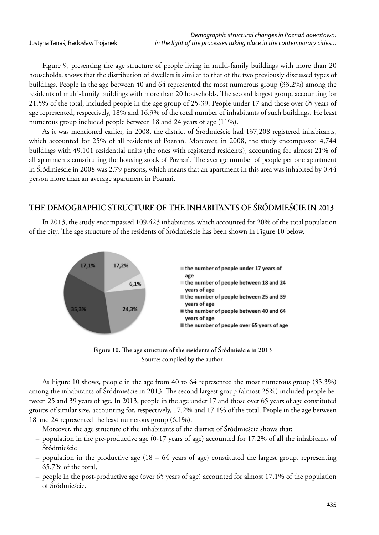Figure 9, presenting the age structure of people living in multi-family buildings with more than 20 households, shows that the distribution of dwellers is similar to that of the two previously discussed types of buildings. People in the age between 40 and 64 represented the most numerous group (33.2%) among the residents of multi-family buildings with more than 20 households. The second largest group, accounting for 21.5% of the total, included people in the age group of 25-39. People under 17 and those over 65 years of age represented, respectively, 18% and 16.3% of the total number of inhabitants of such buildings. He least numerous group included people between 18 and 24 years of age (11%).

As it was mentioned earlier, in 2008, the district of Śródmieście had 137,208 registered inhabitants, which accounted for 25% of all residents of Poznań. Moreover, in 2008, the study encompassed 4,744 buildings with 49,101 residential units (the ones with registered residents), accounting for almost 21% of all apartments constituting the housing stock of Poznań. The average number of people per one apartment in Śródmieście in 2008 was 2.79 persons, which means that an apartment in this area was inhabited by 0.44 person more than an average apartment in Poznań.

## **THE DEMOGRAPHIC STRUCTURE OF THE INHABITANTS OF ŚRÓDMIEŚCIE IN 2013**

In 2013, the study encompassed 109,423 inhabitants, which accounted for 20% of the total population of the city. The age structure of the residents of Śródmieście has been shown in Figure 10 below.



Figure 10. The age structure of the residents of Śródmieście in 2013 Source: compiled by the author.

As Figure 10 shows, people in the age from 40 to 64 represented the most numerous group (35.3%) among the inhabitants of Śródmieście in 2013. The second largest group (almost 25%) included people between 25 and 39 years of age. In 2013, people in the age under 17 and those over 65 years of age constituted groups of similar size, accounting for, respectively, 17.2% and 17.1% of the total. People in the age between 18 and 24 represented the least numerous group (6.1%).

Moreover, the age structure of the inhabitants of the district of Śródmieście shows that:

- population in the pre-productive age (0-17 years of age) accounted for 17.2% of all the inhabitants of Śródmieście
- population in the productive age  $(18 64)$  years of age) constituted the largest group, representing 65.7% of the total,
- people in the post-productive age (over 65 years of age) accounted for almost 17.1% of the population of Śródmieście.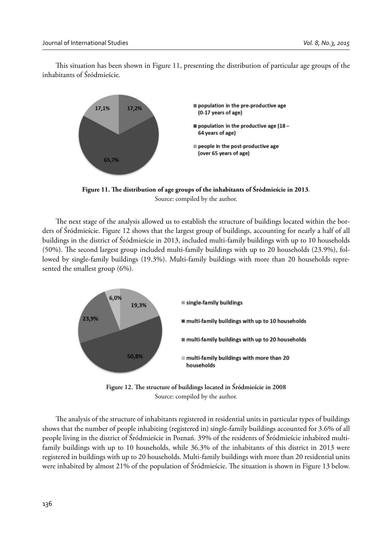This situation has been shown in Figure 11, presenting the distribution of particular age groups of the inhabitants of Śródmieście.



Figure 11. The distribution of age groups of the inhabitants of Śródmieście in 2013. Source: compiled by the author.

The next stage of the analysis allowed us to establish the structure of buildings located within the borders of Śródmieście. Figure 12 shows that the largest group of buildings, accounting for nearly a half of all buildings in the district of Śródmieście in 2013, included multi-family buildings with up to 10 households (50%). The second largest group included multi-family buildings with up to 20 households (23.9%), followed by single-family buildings (19.3%). Multi-family buildings with more than 20 households represented the smallest group (6%).



Figure 12. The structure of buildings located in Sródmieście in 2008 Source: compiled by the author.

The analysis of the structure of inhabitants registered in residential units in particular types of buildings shows that the number of people inhabiting (registered in) single-family buildings accounted for 3.6% of all people living in the district of Śródmieście in Poznań. 39% of the residents of Śródmieście inhabited multifamily buildings with up to 10 households, while 36.3% of the inhabitants of this district in 2013 were registered in buildings with up to 20 households. Multi-family buildings with more than 20 residential units were inhabited by almost 21% of the population of Śródmieście. The situation is shown in Figure 13 below.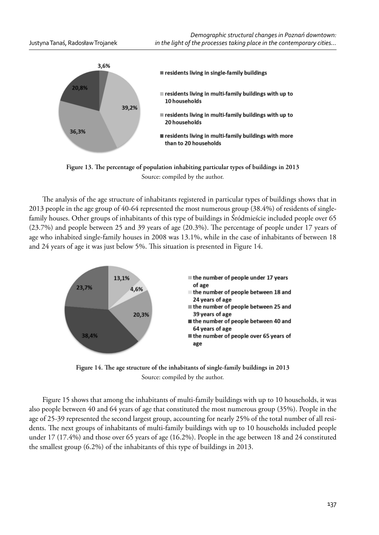

Figure 13. The percentage of population inhabiting particular types of buildings in 2013 Source: compiled by the author.

The analysis of the age structure of inhabitants registered in particular types of buildings shows that in 2013 people in the age group of 40-64 represented the most numerous group (38.4%) of residents of singlefamily houses. Other groups of inhabitants of this type of buildings in Śródmieście included people over 65  $(23.7%)$  and people between 25 and 39 years of age  $(20.3%)$ . The percentage of people under 17 years of age who inhabited single-family houses in 2008 was 13.1%, while in the case of inhabitants of between 18 and 24 years of age it was just below 5%. This situation is presented in Figure 14.



Figure 14. The age structure of the inhabitants of single-family buildings in 2013 Source: compiled by the author.

Figure 15 shows that among the inhabitants of multi-family buildings with up to 10 households, it was also people between 40 and 64 years of age that constituted the most numerous group (35%). People in the age of 25-39 represented the second largest group, accounting for nearly 25% of the total number of all residents. The next groups of inhabitants of multi-family buildings with up to 10 households included people under 17 (17.4%) and those over 65 years of age (16.2%). People in the age between 18 and 24 constituted the smallest group (6.2%) of the inhabitants of this type of buildings in 2013.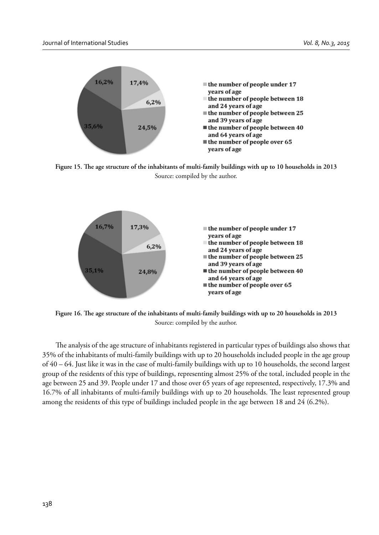

Figure 15. The age structure of the inhabitants of multi-family buildings with up to 10 households in 2013 Source: compiled by the author.



Figure 16. The age structure of the inhabitants of multi-family buildings with up to 20 households in 2013 Source: compiled by the author.

The analysis of the age structure of inhabitants registered in particular types of buildings also shows that 35% of the inhabitants of multi-family buildings with up to 20 households included people in the age group of 40 – 64. Just like it was in the case of multi-family buildings with up to 10 households, the second largest group of the residents of this type of buildings, representing almost 25% of the total, included people in the age between 25 and 39. People under 17 and those over 65 years of age represented, respectively, 17.3% and 16.7% of all inhabitants of multi-family buildings with up to 20 households. The least represented group among the residents of this type of buildings included people in the age between 18 and 24 (6.2%).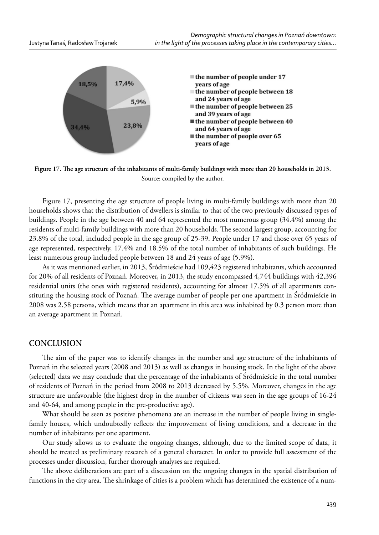

Figure 17. The age structure of the inhabitants of multi-family buildings with more than 20 households in 2013. Source: compiled by the author.

Figure 17, presenting the age structure of people living in multi-family buildings with more than 20 households shows that the distribution of dwellers is similar to that of the two previously discussed types of buildings. People in the age between 40 and 64 represented the most numerous group (34.4%) among the residents of multi-family buildings with more than 20 households. The second largest group, accounting for 23.8% of the total, included people in the age group of 25-39. People under 17 and those over 65 years of age represented, respectively, 17.4% and 18.5% of the total number of inhabitants of such buildings. He least numerous group included people between 18 and 24 years of age (5.9%).

As it was mentioned earlier, in 2013, Śródmieście had 109,423 registered inhabitants, which accounted for 20% of all residents of Poznań. Moreover, in 2013, the study encompassed 4,744 buildings with 42,396 residential units (the ones with registered residents), accounting for almost 17.5% of all apartments constituting the housing stock of Poznań. The average number of people per one apartment in Śródmieście in 2008 was 2.58 persons, which means that an apartment in this area was inhabited by 0.3 person more than an average apartment in Poznań.

### **CONCLUSION**

The aim of the paper was to identify changes in the number and age structure of the inhabitants of Poznań in the selected years (2008 and 2013) as well as changes in housing stock. In the light of the above (selected) data we may conclude that the percentage of the inhabitants of Śródmieście in the total number of residents of Poznań in the period from 2008 to 2013 decreased by 5.5%. Moreover, changes in the age structure are unfavorable (the highest drop in the number of citizens was seen in the age groups of 16-24 and 40-64, and among people in the pre-productive age).

What should be seen as positive phenomena are an increase in the number of people living in singlefamily houses, which undoubtedly reflects the improvement of living conditions, and a decrease in the number of inhabitants per one apartment.

Our study allows us to evaluate the ongoing changes, although, due to the limited scope of data, it should be treated as preliminary research of a general character. In order to provide full assessment of the processes under discussion, further thorough analyses are required.

The above deliberations are part of a discussion on the ongoing changes in the spatial distribution of functions in the city area. The shrinkage of cities is a problem which has determined the existence of a num